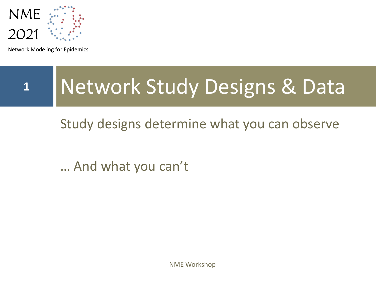

Network Modeling for Epidemics

# **<sup>1</sup>** Network Study Designs & Data

Study designs determine what you can observe

… And what you can't

NME Workshop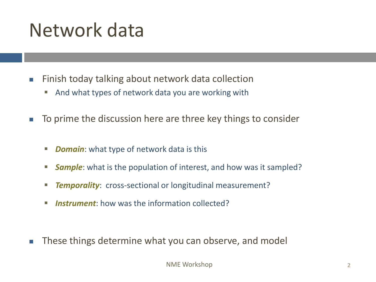## Network data

- Finish today talking about network data collection
	- And what types of network data you are working with
- To prime the discussion here are three key things to consider
	- *Domain:* what type of network data is this
	- **Sample**: what is the population of interest, and how was it sampled?
	- **Temporality:** cross-sectional or longitudinal measurement?
	- **Instrument**: how was the information collected?
- These things determine what you can observe, and model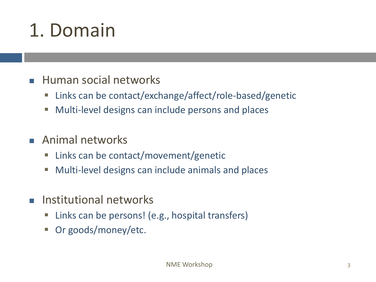# 1. Domain

- Human social networks
	- Links can be contact/exchange/affect/role-based/genetic
	- Multi-level designs can include persons and places
- Animal networks
	- Links can be contact/movement/genetic
	- Multi-level designs can include animals and places
- Institutional networks
	- Links can be persons! (e.g., hospital transfers)
	- Or goods/money/etc.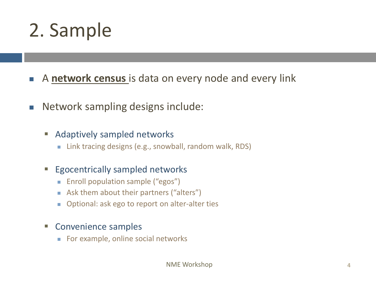## 2. Sample

- <sup>◼</sup> A **network census** is data on every node and every link
- Network sampling designs include:

#### ■ Adaptively sampled networks

■ Link tracing designs (e.g., snowball, random walk, RDS)

### **Egocentrically sampled networks**

- Enroll population sample ("egos")
- Ask them about their partners ("alters")
- Optional: ask ego to report on alter-alter ties

#### ■ Convenience samples

■ For example, online social networks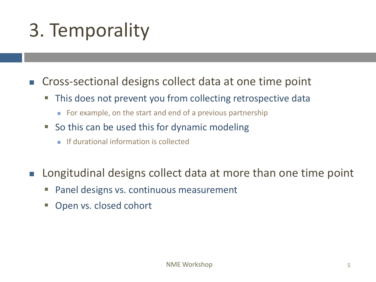# 3. Temporality

■ Cross-sectional designs collect data at one time point

- This does not prevent you from collecting retrospective data
	- For example, on the start and end of a previous partnership
- $\blacksquare$  So this can be used this for dynamic modeling
	- If durational information is collected
- Longitudinal designs collect data at more than one time point
	- Panel designs vs. continuous measurement
	- Open vs. closed cohort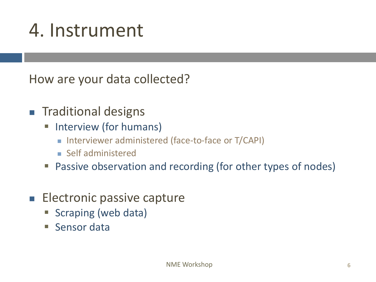## 4. Instrument

How are your data collected?

- Traditional designs
	- **E** Interview (for humans)
		- Interviewer administered (face-to-face or T/CAPI)
		- Self administered
	- Passive observation and recording (for other types of nodes)
- Electronic passive capture
	- Scraping (web data)
	- Sensor data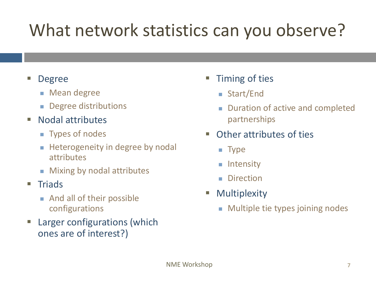## What network statistics can you observe?

### **Degree**

- Mean degree
- Degree distributions
- Nodal attributes
	- Types of nodes
	- Heterogeneity in degree by nodal attributes
	- Mixing by nodal attributes

### ■ Triads

- And all of their possible configurations
- Larger configurations (which ones are of interest?)
- **Timing of ties** 
	- Start/End
	- Duration of active and completed partnerships
- Other attributes of ties
	- Type
	- Intensity
	- Direction
- Multiplexity
	- Multiple tie types joining nodes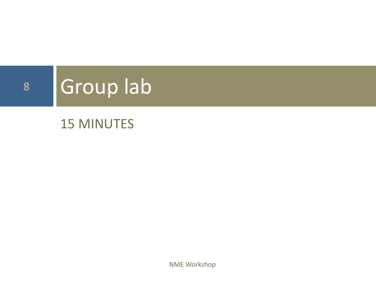# **<sup>8</sup>** Group lab

### 15 MINUTES

NME Workshop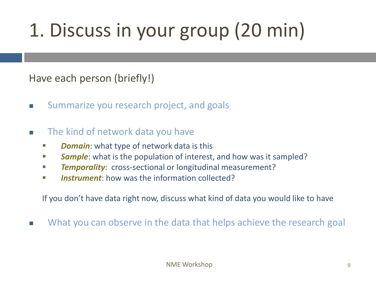# 1. Discuss in your group (20 min)

Have each person (briefly!)

- Summarize you research project, and goals
- The kind of network data you have
	- *Domain*: what type of network data is this
	- **EXTE:** Sample: what is the population of interest, and how was it sampled?
	- **Example 7 Temporality:** cross-sectional or longitudinal measurement?
	- *Instrument*: how was the information collected?

If you don't have data right now, discuss what kind of data you would like to have

What you can observe in the data that helps achieve the research goal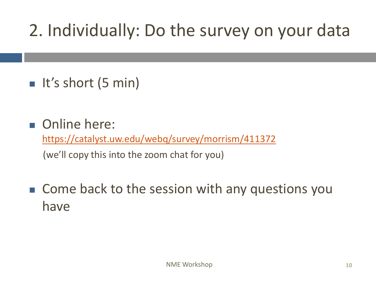### 2. Individually: Do the survey on your data

- It's short (5 min)
- Online here:

<https://catalyst.uw.edu/webq/survey/morrism/411372>

(we'll copy this into the zoom chat for you)

■ Come back to the session with any questions you have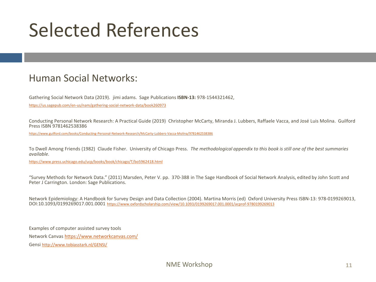## Selected References

### Human Social Networks:

Gathering Social Network Data (2019). jimi adams. Sage Publications **ISBN-13:** 978-1544321462,

<https://us.sagepub.com/en-us/nam/gathering-social-network-data/book260973>

Conducting Personal Network Research: A Practical Guide (2019) Christopher McCarty, Miranda J. Lubbers, Raffaele Vacca, and José Luis Molina. Guilford Press ISBN 9781462538386

<https://www.guilford.com/books/Conducting-Personal-Network-Research/McCarty-Lubbers-Vacca-Molina/9781462538386>

To Dwell Among Friends (1982) Claude Fisher. University of Chicago Press. *The methodological appendix to this book is still one of the best summaries available.*

<https://www.press.uchicago.edu/ucp/books/book/chicago/T/bo5962418.html>

"Survey Methods for Network Data." (2011) Marsden, Peter V. pp. 370-388 in The Sage Handbook of Social Network Analysis, edited by John Scott and Peter J Carrington. London: Sage Publications.

Network Epidemiology: A Handbook for Survey Design and Data Collection (2004). Martina Morris (ed) Oxford University Press ISBN-13: 978-0199269013, DOI:10.1093/0199269017.001.0001 <https://www.oxfordscholarship.com/view/10.1093/0199269017.001.0001/acprof-9780199269013>

Examples of computer assisted survey tools Network Canvas <https://www.networkcanvas.com/> Gensi <http://www.tobiasstark.nl/GENSI/>